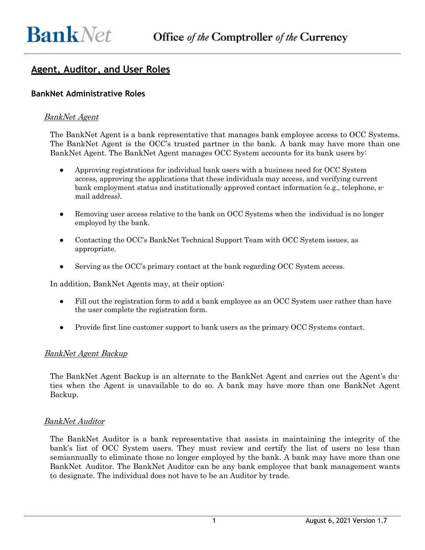# **Agent, Auditor, and User Roles**

## **BankNet Administrative Roles**

## BankNet Agent

The BankNet Agent is a bank representative that manages bank employee access to OCC Systems. The BankNet Agent is the OCC's trusted partner in the bank. A bank may have more than one BankNet Agent. The BankNet Agent manages OCC System accounts for its bank users by:

- Approving registrations for individual bank users with a business need for OCC System access, approving the applications that these individuals may access, and verifying current bank employment status and institutionally approved contact information (e.g., telephone, email address).
- Removing user access relative to the bank on OCC Systems when the individual is no longer employed by the bank.
- Contacting the OCC's BankNet Technical Support Team with OCC System issues, as appropriate.
- Serving as the OCC's primary contact at the bank regarding OCC System access.

In addition, BankNet Agents may, at their option:

- Fill out the registration form to add a bank employee as an OCC System user rather than have the user complete the registration form.
- Provide first line customer support to bank users as the primary OCC Systems contact.

#### BankNet Agent Backup

The BankNet Agent Backup is an alternate to the BankNet Agent and carries out the Agent's duties when the Agent is unavailable to do so. A bank may have more than one BankNet Agent Backup.

#### BankNet Auditor

The BankNet Auditor is a bank representative that assists in maintaining the integrity of the bank's list of OCC System users. They must review and certify the list of users no less than semiannually to eliminate those no longer employed by the bank. A bank may have more than one BankNet Auditor. The BankNet Auditor can be any bank employee that bank management wants to designate. The individual does not have to be an Auditor by trade.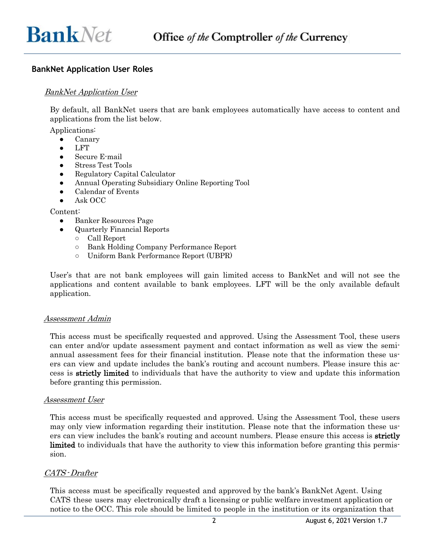# **BankNet Application User Roles**

## BankNet Application User

By default, all BankNet users that are bank employees automatically have access to content and applications from the list below.

Applications:

- Canary
- **LFT**
- Secure E-mail
- Stress Test Tools
- Regulatory Capital Calculator
- Annual Operating Subsidiary Online Reporting Tool
- Calendar of Events
- Ask OCC

Content:

- Banker Resources Page
- Quarterly Financial Reports
	- Call Report
	- Bank Holding Company Performance Report
	- Uniform Bank Performance Report (UBPR)

User's that are not bank employees will gain limited access to BankNet and will not see the applications and content available to bank employees. LFT will be the only available default application.

#### Assessment Admin

This access must be specifically requested and approved. Using the Assessment Tool, these users can enter and/or update assessment payment and contact information as well as view the semiannual assessment fees for their financial institution. Please note that the information these users can view and update includes the bank's routing and account numbers. Please insure this access is strictly limited to individuals that have the authority to view and update this information before granting this permission.

#### Assessment User

This access must be specifically requested and approved. Using the Assessment Tool, these users may only view information regarding their institution. Please note that the information these users can view includes the bank's routing and account numbers. Please ensure this access is **strictly** limited to individuals that have the authority to view this information before granting this permission.

#### CATS-Drafter

This access must be specifically requested and approved by the bank's BankNet Agent. Using CATS these users may electronically draft a licensing or public welfare investment application or notice to the OCC. This role should be limited to people in the institution or its organization that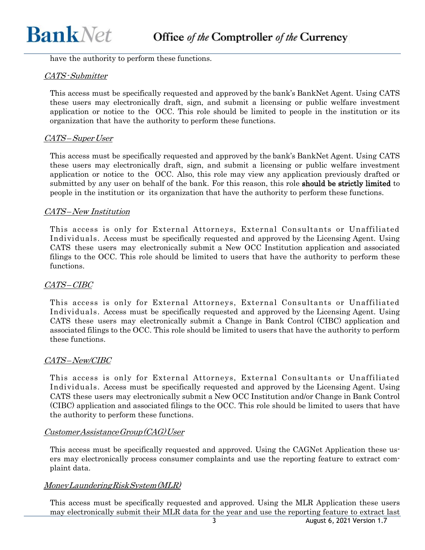have the authority to perform these functions.

## CATS-Submitter

This access must be specifically requested and approved by the bank's BankNet Agent. Using CATS these users may electronically draft, sign, and submit a licensing or public welfare investment application or notice to the OCC. This role should be limited to people in the institution or its organization that have the authority to perform these functions.

## CATS–Super User

This access must be specifically requested and approved by the bank's BankNet Agent. Using CATS these users may electronically draft, sign, and submit a licensing or public welfare investment application or notice to the OCC. Also, this role may view any application previously drafted or submitted by any user on behalf of the bank. For this reason, this role **should be strictly limited** to people in the institution or its organization that have the authority to perform these functions.

## CATS–New Institution

This access is only for External Attorneys, External Consultants or Unaffiliated Individuals. Access must be specifically requested and approved by the Licensing Agent. Using CATS these users may electronically submit a New OCC Institution application and associated filings to the OCC. This role should be limited to users that have the authority to perform these functions.

## CATS–CIBC

This access is only for External Attorneys, External Consultants or Unaffiliated Individuals. Access must be specifically requested and approved by the Licensing Agent. Using CATS these users may electronically submit a Change in Bank Control (CIBC) application and associated filings to the OCC. This role should be limited to users that have the authority to perform these functions.

## CATS–New/CIBC

This access is only for External Attorneys, External Consultants or Unaffiliated Individuals. Access must be specifically requested and approved by the Licensing Agent. Using CATS these users may electronically submit a New OCC Institution and/or Change in Bank Control (CIBC) application and associated filings to the OCC. This role should be limited to users that have the authority to perform these functions.

## CustomerAssistanceGroup(CAG)User

This access must be specifically requested and approved. Using the CAGNet Application these users may electronically process consumer complaints and use the reporting feature to extract complaint data.

## MoneyLaunderingRiskSystem(MLR)

This access must be specifically requested and approved. Using the MLR Application these users may electronically submit their MLR data for the year and use the reporting feature to extract last